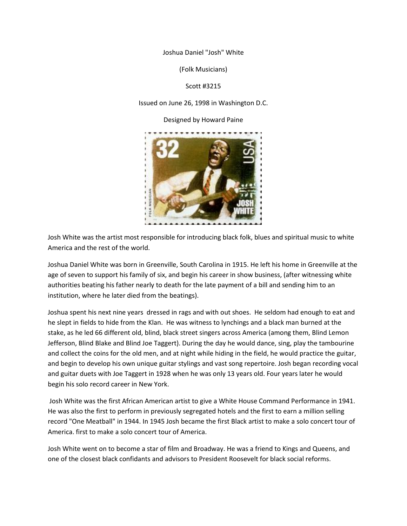Joshua Daniel "Josh" White

(Folk Musicians)

Scott #3215

Issued on June 26, 1998 in Washington D.C.

Designed by Howard Paine



Josh White was the artist most responsible for introducing black folk, blues and spiritual music to white America and the rest of the world.

Joshua Daniel White was born in Greenville, South Carolina in 1915. He left his home in Greenville at the age of seven to support his family of six, and begin his career in show business, (after witnessing white authorities beating his father nearly to death for the late payment of a bill and sending him to an institution, where he later died from the beatings).

Joshua spent his next nine years dressed in rags and with out shoes. He seldom had enough to eat and he slept in fields to hide from the Klan. He was witness to lynchings and a black man burned at the stake, as he led 66 different old, blind, black street singers across America (among them, Blind Lemon Jefferson, Blind Blake and Blind Joe Taggert). During the day he would dance, sing, play the tambourine and collect the coins for the old men, and at night while hiding in the field, he would practice the guitar, and begin to develop his own unique guitar stylings and vast song repertoire. Josh began recording vocal and guitar duets with Joe Taggert in 1928 when he was only 13 years old. Four years later he would begin his solo record career in New York.

Josh White was the first African American artist to give a White House Command Performance in 1941. He was also the first to perform in previously segregated hotels and the first to earn a million selling record "One Meatball" in 1944. In 1945 Josh became the first Black artist to make a solo concert tour of America. first to make a solo concert tour of America.

Josh White went on to become a star of film and Broadway. He was a friend to Kings and Queens, and one of the closest black confidants and advisors to President Roosevelt for black social reforms.